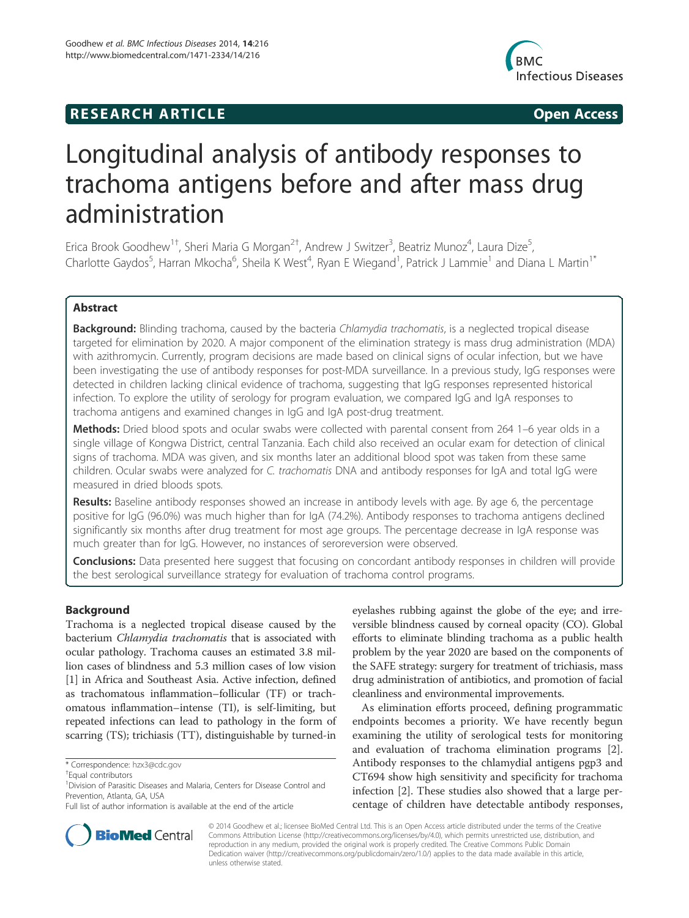## **RESEARCH ARTICLE Example 2014 CONSIDERING CONSIDERING CONSIDERING CONSIDERING CONSIDERING CONSIDERING CONSIDERING CONSIDERING CONSIDERING CONSIDERING CONSIDERING CONSIDERING CONSIDERING CONSIDERING CONSIDERING CONSIDE**



# Longitudinal analysis of antibody responses to trachoma antigens before and after mass drug administration

Erica Brook Goodhew<sup>1†</sup>, Sheri Maria G Morgan<sup>2†</sup>, Andrew J Switzer<sup>3</sup>, Beatriz Munoz<sup>4</sup>, Laura Dize<sup>5</sup> , Charlotte Gaydos<sup>5</sup>, Harran Mkocha<sup>6</sup>, Sheila K West<sup>4</sup>, Ryan E Wiegand<sup>1</sup>, Patrick J Lammie<sup>1</sup> and Diana L Martin<sup>1\*</sup>

## Abstract

Background: Blinding trachoma, caused by the bacteria Chlamydia trachomatis, is a neglected tropical disease targeted for elimination by 2020. A major component of the elimination strategy is mass drug administration (MDA) with azithromycin. Currently, program decisions are made based on clinical signs of ocular infection, but we have been investigating the use of antibody responses for post-MDA surveillance. In a previous study, IgG responses were detected in children lacking clinical evidence of trachoma, suggesting that IgG responses represented historical infection. To explore the utility of serology for program evaluation, we compared IgG and IgA responses to trachoma antigens and examined changes in IgG and IgA post-drug treatment.

Methods: Dried blood spots and ocular swabs were collected with parental consent from 264 1–6 year olds in a single village of Kongwa District, central Tanzania. Each child also received an ocular exam for detection of clinical signs of trachoma. MDA was given, and six months later an additional blood spot was taken from these same children. Ocular swabs were analyzed for C. trachomatis DNA and antibody responses for IgA and total IgG were measured in dried bloods spots.

Results: Baseline antibody responses showed an increase in antibody levels with age. By age 6, the percentage positive for IgG (96.0%) was much higher than for IgA (74.2%). Antibody responses to trachoma antigens declined significantly six months after drug treatment for most age groups. The percentage decrease in IgA response was much greater than for IgG. However, no instances of seroreversion were observed.

**Conclusions:** Data presented here suggest that focusing on concordant antibody responses in children will provide the best serological surveillance strategy for evaluation of trachoma control programs.

## Background

Trachoma is a neglected tropical disease caused by the bacterium Chlamydia trachomatis that is associated with ocular pathology. Trachoma causes an estimated 3.8 million cases of blindness and 5.3 million cases of low vision [1] in Africa and Southeast Asia. Active infection, defined as trachomatous inflammation–follicular (TF) or trachomatous inflammation–intense (TI), is self-limiting, but repeated infections can lead to pathology in the form of scarring (TS); trichiasis (TT), distinguishable by turned-in

eyelashes rubbing against the globe of the eye; and irreversible blindness caused by corneal opacity (CO). Global efforts to eliminate blinding trachoma as a public health problem by the year 2020 are based on the components of the SAFE strategy: surgery for treatment of trichiasis, mass drug administration of antibiotics, and promotion of facial cleanliness and environmental improvements.

As elimination efforts proceed, defining programmatic endpoints becomes a priority. We have recently begun examining the utility of serological tests for monitoring and evaluation of trachoma elimination programs [2]. Antibody responses to the chlamydial antigens pgp3 and CT694 show high sensitivity and specificity for trachoma infection [2]. These studies also showed that a large percentage of children have detectable antibody responses,



© 2014 Goodhew et al.; licensee BioMed Central Ltd. This is an Open Access article distributed under the terms of the Creative Commons Attribution License (http://creativecommons.org/licenses/by/4.0), which permits unrestricted use, distribution, and reproduction in any medium, provided the original work is properly credited. The Creative Commons Public Domain Dedication waiver (http://creativecommons.org/publicdomain/zero/1.0/) applies to the data made available in this article, unless otherwise stated.

<sup>\*</sup> Correspondence: hzx3@cdc.gov †

<sup>&</sup>lt;sup>+</sup>Equal contributors

<sup>&</sup>lt;sup>1</sup> Division of Parasitic Diseases and Malaria, Centers for Disease Control and Prevention, Atlanta, GA, USA

Full list of author information is available at the end of the article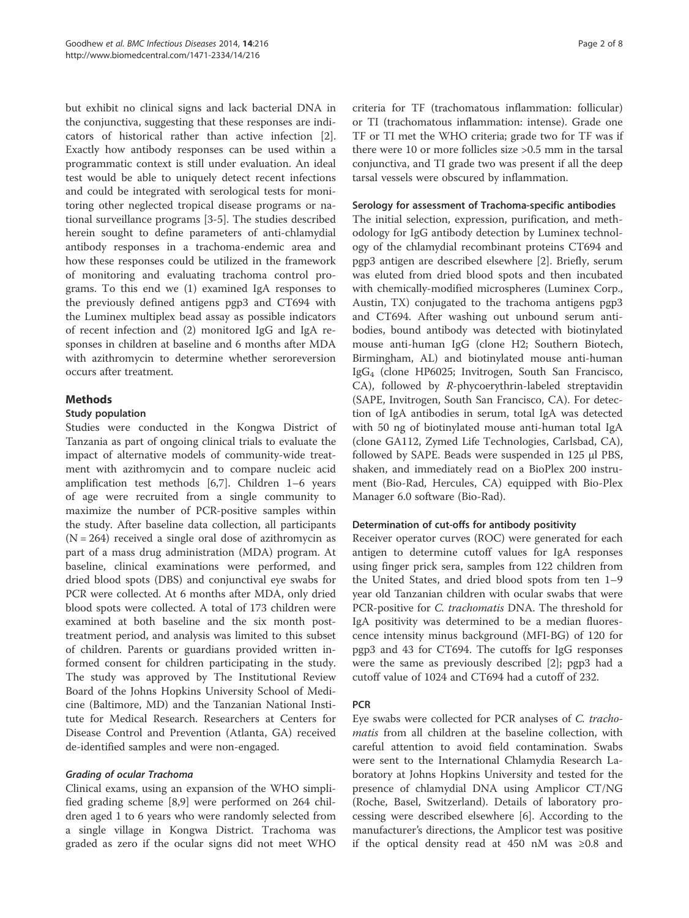but exhibit no clinical signs and lack bacterial DNA in the conjunctiva, suggesting that these responses are indicators of historical rather than active infection [2]. Exactly how antibody responses can be used within a programmatic context is still under evaluation. An ideal test would be able to uniquely detect recent infections and could be integrated with serological tests for monitoring other neglected tropical disease programs or national surveillance programs [3-5]. The studies described herein sought to define parameters of anti-chlamydial antibody responses in a trachoma-endemic area and how these responses could be utilized in the framework of monitoring and evaluating trachoma control programs. To this end we (1) examined IgA responses to the previously defined antigens pgp3 and CT694 with the Luminex multiplex bead assay as possible indicators of recent infection and (2) monitored IgG and IgA responses in children at baseline and 6 months after MDA with azithromycin to determine whether seroreversion occurs after treatment.

## Methods

#### Study population

Studies were conducted in the Kongwa District of Tanzania as part of ongoing clinical trials to evaluate the impact of alternative models of community-wide treatment with azithromycin and to compare nucleic acid amplification test methods [6,7]. Children 1–6 years of age were recruited from a single community to maximize the number of PCR-positive samples within the study. After baseline data collection, all participants  $(N = 264)$  received a single oral dose of azithromycin as part of a mass drug administration (MDA) program. At baseline, clinical examinations were performed, and dried blood spots (DBS) and conjunctival eye swabs for PCR were collected. At 6 months after MDA, only dried blood spots were collected. A total of 173 children were examined at both baseline and the six month posttreatment period, and analysis was limited to this subset of children. Parents or guardians provided written informed consent for children participating in the study. The study was approved by The Institutional Review Board of the Johns Hopkins University School of Medicine (Baltimore, MD) and the Tanzanian National Institute for Medical Research. Researchers at Centers for Disease Control and Prevention (Atlanta, GA) received de-identified samples and were non-engaged.

## Grading of ocular Trachoma

Clinical exams, using an expansion of the WHO simplified grading scheme [8,9] were performed on 264 children aged 1 to 6 years who were randomly selected from a single village in Kongwa District. Trachoma was graded as zero if the ocular signs did not meet WHO criteria for TF (trachomatous inflammation: follicular) or TI (trachomatous inflammation: intense). Grade one TF or TI met the WHO criteria; grade two for TF was if there were 10 or more follicles size >0.5 mm in the tarsal conjunctiva, and TI grade two was present if all the deep tarsal vessels were obscured by inflammation.

#### Serology for assessment of Trachoma-specific antibodies

The initial selection, expression, purification, and methodology for IgG antibody detection by Luminex technology of the chlamydial recombinant proteins CT694 and pgp3 antigen are described elsewhere [2]. Briefly, serum was eluted from dried blood spots and then incubated with chemically-modified microspheres (Luminex Corp., Austin, TX) conjugated to the trachoma antigens pgp3 and CT694. After washing out unbound serum antibodies, bound antibody was detected with biotinylated mouse anti-human IgG (clone H2; Southern Biotech, Birmingham, AL) and biotinylated mouse anti-human IgG4 (clone HP6025; Invitrogen, South San Francisco, CA), followed by R-phycoerythrin-labeled streptavidin (SAPE, Invitrogen, South San Francisco, CA). For detection of IgA antibodies in serum, total IgA was detected with 50 ng of biotinylated mouse anti-human total IgA (clone GA112, Zymed Life Technologies, Carlsbad, CA), followed by SAPE. Beads were suspended in 125 μl PBS, shaken, and immediately read on a BioPlex 200 instrument (Bio-Rad, Hercules, CA) equipped with Bio-Plex Manager 6.0 software (Bio-Rad).

#### Determination of cut-offs for antibody positivity

Receiver operator curves (ROC) were generated for each antigen to determine cutoff values for IgA responses using finger prick sera, samples from 122 children from the United States, and dried blood spots from ten 1–9 year old Tanzanian children with ocular swabs that were PCR-positive for *C. trachomatis* DNA. The threshold for IgA positivity was determined to be a median fluorescence intensity minus background (MFI-BG) of 120 for pgp3 and 43 for CT694. The cutoffs for IgG responses were the same as previously described [2]; pgp3 had a cutoff value of 1024 and CT694 had a cutoff of 232.

## PCR

Eye swabs were collected for PCR analyses of C. tracho*matis* from all children at the baseline collection, with careful attention to avoid field contamination. Swabs were sent to the International Chlamydia Research Laboratory at Johns Hopkins University and tested for the presence of chlamydial DNA using Amplicor CT/NG (Roche, Basel, Switzerland). Details of laboratory processing were described elsewhere [6]. According to the manufacturer's directions, the Amplicor test was positive if the optical density read at 450 nM was ≥0.8 and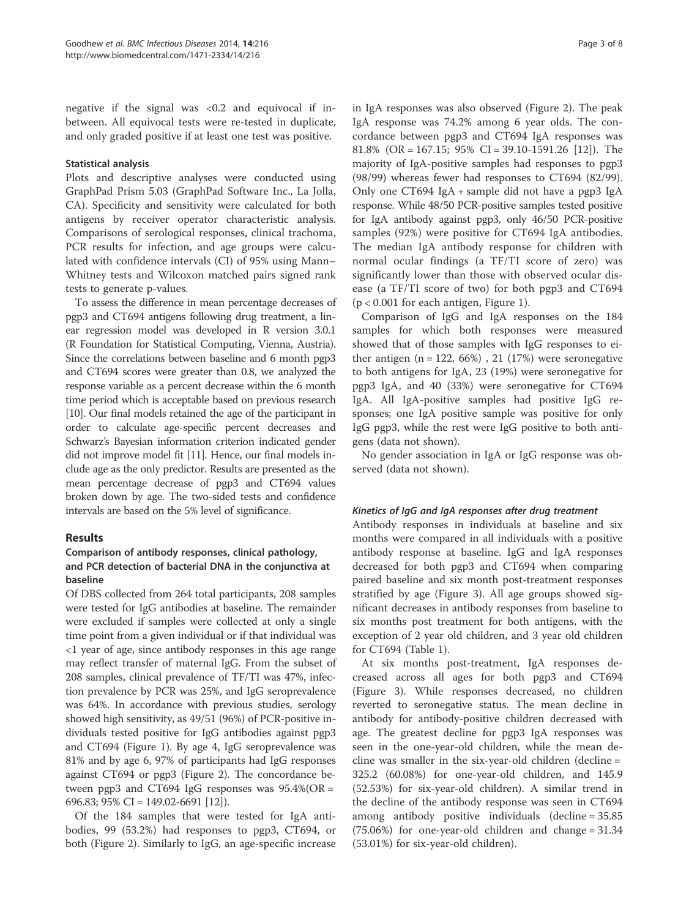negative if the signal was  $< 0.2$  and equivocal if inbetween. All equivocal tests were re-tested in duplicate, and only graded positive if at least one test was positive.

#### Statistical analysis

Plots and descriptive analyses were conducted using GraphPad Prism 5.03 (GraphPad Software Inc., La Jolla, CA). Specificity and sensitivity were calculated for both antigens by receiver operator characteristic analysis. Comparisons of serological responses, clinical trachoma, PCR results for infection, and age groups were calculated with confidence intervals (CI) of 95% using Mann– Whitney tests and Wilcoxon matched pairs signed rank tests to generate p-values.

To assess the difference in mean percentage decreases of pgp3 and CT694 antigens following drug treatment, a linear regression model was developed in R version 3.0.1 (R Foundation for Statistical Computing, Vienna, Austria). Since the correlations between baseline and 6 month pgp3 and CT694 scores were greater than 0.8, we analyzed the response variable as a percent decrease within the 6 month time period which is acceptable based on previous research [10]. Our final models retained the age of the participant in order to calculate age-specific percent decreases and Schwarz's Bayesian information criterion indicated gender did not improve model fit [11]. Hence, our final models include age as the only predictor. Results are presented as the mean percentage decrease of pgp3 and CT694 values broken down by age. The two-sided tests and confidence intervals are based on the 5% level of significance.

## Results

## Comparison of antibody responses, clinical pathology, and PCR detection of bacterial DNA in the conjunctiva at baseline

Of DBS collected from 264 total participants, 208 samples were tested for IgG antibodies at baseline. The remainder were excluded if samples were collected at only a single time point from a given individual or if that individual was <1 year of age, since antibody responses in this age range may reflect transfer of maternal IgG. From the subset of 208 samples, clinical prevalence of TF/TI was 47%, infection prevalence by PCR was 25%, and IgG seroprevalence was 64%. In accordance with previous studies, serology showed high sensitivity, as 49/51 (96%) of PCR-positive individuals tested positive for IgG antibodies against pgp3 and CT694 (Figure 1). By age 4, IgG seroprevalence was 81% and by age 6, 97% of participants had IgG responses against CT694 or pgp3 (Figure 2). The concordance between pgp3 and CT694 IgG responses was  $95.4\%$ (OR = 696.83; 95% CI = 149.02-6691 [12]).

Of the 184 samples that were tested for IgA antibodies, 99 (53.2%) had responses to pgp3, CT694, or both (Figure 2). Similarly to IgG, an age-specific increase in IgA responses was also observed (Figure 2). The peak IgA response was 74.2% among 6 year olds. The concordance between pgp3 and CT694 IgA responses was 81.8% (OR = 167.15; 95% CI = 39.10-1591.26 [12]). The majority of IgA-positive samples had responses to pgp3 (98/99) whereas fewer had responses to CT694 (82/99). Only one CT694 IgA + sample did not have a pgp3 IgA response. While 48/50 PCR-positive samples tested positive for IgA antibody against pgp3, only 46/50 PCR-positive samples (92%) were positive for CT694 IgA antibodies. The median IgA antibody response for children with normal ocular findings (a TF/TI score of zero) was significantly lower than those with observed ocular disease (a TF/TI score of two) for both pgp3 and CT694  $(p < 0.001$  for each antigen, Figure 1).

Comparison of IgG and IgA responses on the 184 samples for which both responses were measured showed that of those samples with IgG responses to either antigen  $(n = 122, 66%)$ , 21 (17%) were seronegative to both antigens for IgA, 23 (19%) were seronegative for pgp3 IgA, and 40 (33%) were seronegative for CT694 IgA. All IgA-positive samples had positive IgG responses; one IgA positive sample was positive for only IgG pgp3, while the rest were IgG positive to both antigens (data not shown).

No gender association in IgA or IgG response was observed (data not shown).

## Kinetics of IgG and IgA responses after drug treatment

Antibody responses in individuals at baseline and six months were compared in all individuals with a positive antibody response at baseline. IgG and IgA responses decreased for both pgp3 and CT694 when comparing paired baseline and six month post-treatment responses stratified by age (Figure 3). All age groups showed significant decreases in antibody responses from baseline to six months post treatment for both antigens, with the exception of 2 year old children, and 3 year old children for CT694 (Table 1).

At six months post-treatment, IgA responses decreased across all ages for both pgp3 and CT694 (Figure 3). While responses decreased, no children reverted to seronegative status. The mean decline in antibody for antibody-positive children decreased with age. The greatest decline for pgp3 IgA responses was seen in the one-year-old children, while the mean decline was smaller in the six-year-old children (decline = 325.2 (60.08%) for one-year-old children, and 145.9 (52.53%) for six-year-old children). A similar trend in the decline of the antibody response was seen in CT694 among antibody positive individuals (decline = 35.85 (75.06%) for one-year-old children and change = 31.34 (53.01%) for six-year-old children).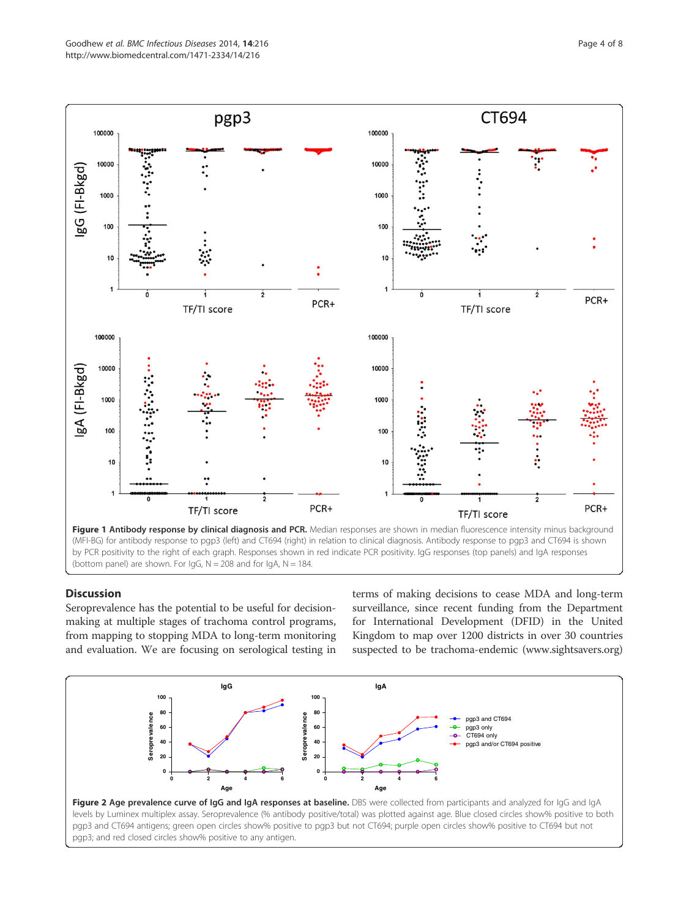

(MFI-BG) for antibody response to pgp3 (left) and CT694 (right) in relation to clinical diagnosis. Antibody response to pgp3 and CT694 is shown by PCR positivity to the right of each graph. Responses shown in red indicate PCR positivity. IgG responses (top panels) and IgA responses (bottom panel) are shown. For  $lgG$ ,  $N = 208$  and for  $lgA$ ,  $N = 184$ .

## **Discussion**

Seroprevalence has the potential to be useful for decisionmaking at multiple stages of trachoma control programs, from mapping to stopping MDA to long-term monitoring and evaluation. We are focusing on serological testing in

terms of making decisions to cease MDA and long-term surveillance, since recent funding from the Department for International Development (DFID) in the United Kingdom to map over 1200 districts in over 30 countries suspected to be trachoma-endemic (www.sightsavers.org)

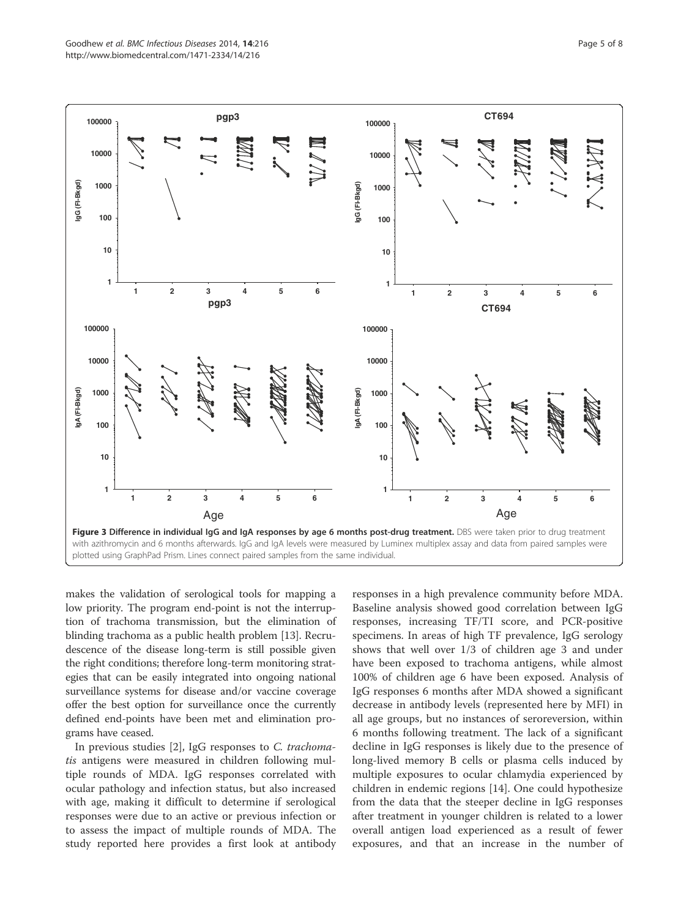

makes the validation of serological tools for mapping a low priority. The program end-point is not the interruption of trachoma transmission, but the elimination of blinding trachoma as a public health problem [13]. Recrudescence of the disease long-term is still possible given the right conditions; therefore long-term monitoring strategies that can be easily integrated into ongoing national surveillance systems for disease and/or vaccine coverage offer the best option for surveillance once the currently defined end-points have been met and elimination programs have ceased.

In previous studies [2], IgG responses to C. trachomatis antigens were measured in children following multiple rounds of MDA. IgG responses correlated with ocular pathology and infection status, but also increased with age, making it difficult to determine if serological responses were due to an active or previous infection or to assess the impact of multiple rounds of MDA. The study reported here provides a first look at antibody

responses in a high prevalence community before MDA. Baseline analysis showed good correlation between IgG responses, increasing TF/TI score, and PCR-positive specimens. In areas of high TF prevalence, IgG serology shows that well over 1/3 of children age 3 and under have been exposed to trachoma antigens, while almost 100% of children age 6 have been exposed. Analysis of IgG responses 6 months after MDA showed a significant decrease in antibody levels (represented here by MFI) in all age groups, but no instances of seroreversion, within 6 months following treatment. The lack of a significant decline in IgG responses is likely due to the presence of long-lived memory B cells or plasma cells induced by multiple exposures to ocular chlamydia experienced by children in endemic regions [14]. One could hypothesize from the data that the steeper decline in IgG responses after treatment in younger children is related to a lower overall antigen load experienced as a result of fewer exposures, and that an increase in the number of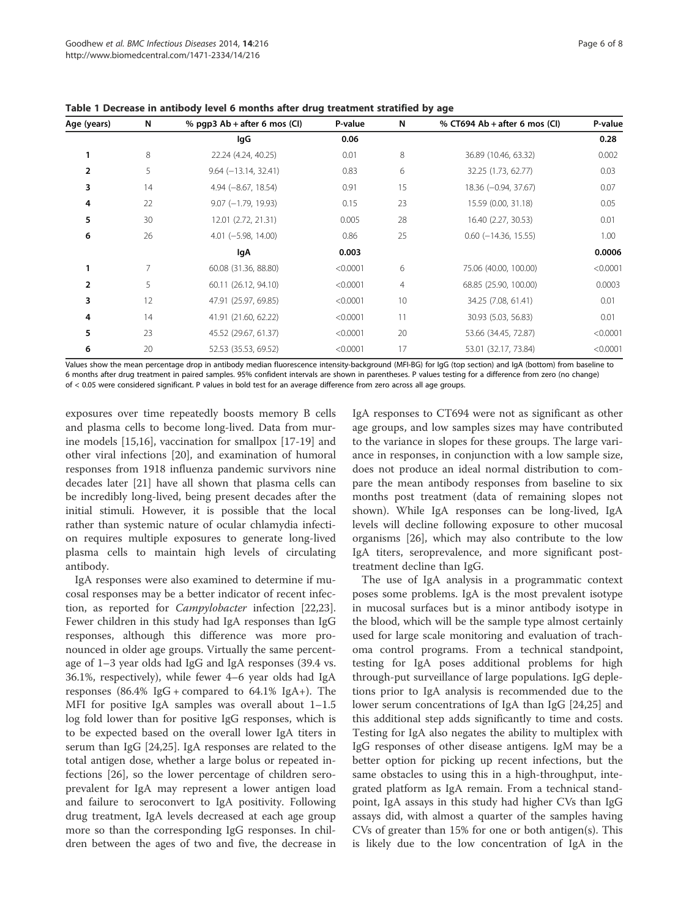| Age (years)    | N              | % pqp3 $Ab + after 6$ mos (CI) | P-value  | N  | % CT694 Ab + after 6 mos $ CI $ | P-value  |
|----------------|----------------|--------------------------------|----------|----|---------------------------------|----------|
|                |                | lgG                            | 0.06     |    |                                 | 0.28     |
| 1              | 8              | 22.24 (4.24, 40.25)            | 0.01     | 8  | 36.89 (10.46, 63.32)            | 0.002    |
| $\overline{2}$ | 5              | $9.64 (-13.14, 32.41)$         | 0.83     | 6  | 32.25 (1.73, 62.77)             | 0.03     |
| 3              | 14             | $4.94 (-8.67, 18.54)$          | 0.91     | 15 | 18.36 (-0.94, 37.67)            | 0.07     |
| 4              | 22             | $9.07$ (-1.79, 19.93)          | 0.15     | 23 | 15.59 (0.00, 31.18)             | 0.05     |
| 5              | 30             | 12.01 (2.72, 21.31)            | 0.005    | 28 | 16.40 (2.27, 30.53)             | 0.01     |
| 6              | 26             | $4.01$ (-5.98, 14.00)          | 0.86     | 25 | $0.60$ ( $-14.36$ , $15.55$ )   | 1.00     |
|                |                | lgA                            | 0.003    |    |                                 | 0.0006   |
| 1              | $\overline{7}$ | 60.08 (31.36, 88.80)           | < 0.0001 | 6  | 75.06 (40.00, 100.00)           | < 0.0001 |
| $\overline{2}$ | 5              | 60.11 (26.12, 94.10)           | < 0.0001 | 4  | 68.85 (25.90, 100.00)           | 0.0003   |
| 3              | 12             | 47.91 (25.97, 69.85)           | < 0.0001 | 10 | 34.25 (7.08, 61.41)             | 0.01     |
| 4              | 14             | 41.91 (21.60, 62.22)           | < 0.0001 | 11 | 30.93 (5.03, 56.83)             | 0.01     |
| 5              | 23             | 45.52 (29.67, 61.37)           | < 0.0001 | 20 | 53.66 (34.45, 72.87)            | < 0.0001 |
| 6              | 20             | 52.53 (35.53, 69.52)           | < 0.0001 | 17 | 53.01 (32.17, 73.84)            | < 0.0001 |

Table 1 Decrease in antibody level 6 months after drug treatment stratified by age

Values show the mean percentage drop in antibody median fluorescence intensity-background (MFI-BG) for IgG (top section) and IgA (bottom) from baseline to 6 months after drug treatment in paired samples. 95% confident intervals are shown in parentheses. P values testing for a difference from zero (no change) of < 0.05 were considered significant. P values in bold test for an average difference from zero across all age groups.

exposures over time repeatedly boosts memory B cells and plasma cells to become long-lived. Data from murine models [15,16], vaccination for smallpox [17-19] and other viral infections [20], and examination of humoral responses from 1918 influenza pandemic survivors nine decades later [21] have all shown that plasma cells can be incredibly long-lived, being present decades after the initial stimuli. However, it is possible that the local rather than systemic nature of ocular chlamydia infection requires multiple exposures to generate long-lived plasma cells to maintain high levels of circulating antibody.

IgA responses were also examined to determine if mucosal responses may be a better indicator of recent infection, as reported for Campylobacter infection [22,23]. Fewer children in this study had IgA responses than IgG responses, although this difference was more pronounced in older age groups. Virtually the same percentage of 1–3 year olds had IgG and IgA responses (39.4 vs. 36.1%, respectively), while fewer 4–6 year olds had IgA responses  $(86.4\% \text{ IgG} + \text{compared to } 64.1\% \text{ IgA} + )$ . The MFI for positive IgA samples was overall about 1–1.5 log fold lower than for positive IgG responses, which is to be expected based on the overall lower IgA titers in serum than IgG [24,25]. IgA responses are related to the total antigen dose, whether a large bolus or repeated infections [26], so the lower percentage of children seroprevalent for IgA may represent a lower antigen load and failure to seroconvert to IgA positivity. Following drug treatment, IgA levels decreased at each age group more so than the corresponding IgG responses. In children between the ages of two and five, the decrease in IgA responses to CT694 were not as significant as other age groups, and low samples sizes may have contributed to the variance in slopes for these groups. The large variance in responses, in conjunction with a low sample size, does not produce an ideal normal distribution to compare the mean antibody responses from baseline to six months post treatment (data of remaining slopes not shown). While IgA responses can be long-lived, IgA levels will decline following exposure to other mucosal organisms [26], which may also contribute to the low IgA titers, seroprevalence, and more significant posttreatment decline than IgG.

The use of IgA analysis in a programmatic context poses some problems. IgA is the most prevalent isotype in mucosal surfaces but is a minor antibody isotype in the blood, which will be the sample type almost certainly used for large scale monitoring and evaluation of trachoma control programs. From a technical standpoint, testing for IgA poses additional problems for high through-put surveillance of large populations. IgG depletions prior to IgA analysis is recommended due to the lower serum concentrations of IgA than IgG [24,25] and this additional step adds significantly to time and costs. Testing for IgA also negates the ability to multiplex with IgG responses of other disease antigens. IgM may be a better option for picking up recent infections, but the same obstacles to using this in a high-throughput, integrated platform as IgA remain. From a technical standpoint, IgA assays in this study had higher CVs than IgG assays did, with almost a quarter of the samples having CVs of greater than 15% for one or both antigen(s). This is likely due to the low concentration of IgA in the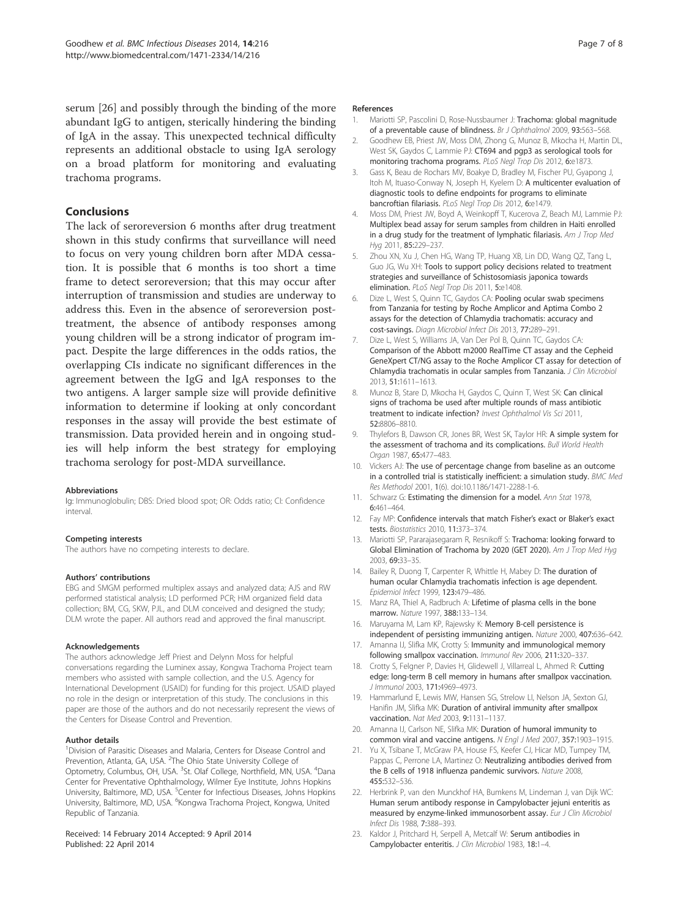serum [26] and possibly through the binding of the more abundant IgG to antigen, sterically hindering the binding of IgA in the assay. This unexpected technical difficulty represents an additional obstacle to using IgA serology on a broad platform for monitoring and evaluating trachoma programs.

## Conclusions

The lack of seroreversion 6 months after drug treatment shown in this study confirms that surveillance will need to focus on very young children born after MDA cessation. It is possible that 6 months is too short a time frame to detect seroreversion; that this may occur after interruption of transmission and studies are underway to address this. Even in the absence of seroreversion posttreatment, the absence of antibody responses among young children will be a strong indicator of program impact. Despite the large differences in the odds ratios, the overlapping CIs indicate no significant differences in the agreement between the IgG and IgA responses to the two antigens. A larger sample size will provide definitive information to determine if looking at only concordant responses in the assay will provide the best estimate of transmission. Data provided herein and in ongoing studies will help inform the best strategy for employing trachoma serology for post-MDA surveillance.

#### Abbreviations

Ig: Immunoglobulin; DBS: Dried blood spot; OR: Odds ratio; CI: Confidence interval.

#### Competing interests

The authors have no competing interests to declare.

#### Authors' contributions

EBG and SMGM performed multiplex assays and analyzed data; AJS and RW performed statistical analysis; LD performed PCR; HM organized field data collection; BM, CG, SKW, PJL, and DLM conceived and designed the study; DLM wrote the paper. All authors read and approved the final manuscript.

#### Acknowledgements

The authors acknowledge Jeff Priest and Delynn Moss for helpful conversations regarding the Luminex assay, Kongwa Trachoma Project team members who assisted with sample collection, and the U.S. Agency for International Development (USAID) for funding for this project. USAID played no role in the design or interpretation of this study. The conclusions in this paper are those of the authors and do not necessarily represent the views of the Centers for Disease Control and Prevention.

#### Author details

<sup>1</sup> Division of Parasitic Diseases and Malaria, Centers for Disease Control and Prevention, Atlanta, GA, USA. <sup>2</sup>The Ohio State University College of Optometry, Columbus, OH, USA. <sup>3</sup>St. Olaf College, Northfield, MN, USA. <sup>4</sup>Dana Center for Preventative Ophthalmology, Wilmer Eye Institute, Johns Hopkins University, Baltimore, MD, USA. <sup>5</sup>Center for Infectious Diseases, Johns Hopkins University, Baltimore, MD, USA. <sup>6</sup>Kongwa Trachoma Project, Kongwa, United Republic of Tanzania.

#### Received: 14 February 2014 Accepted: 9 April 2014 Published: 22 April 2014

#### References

- 1. Mariotti SP, Pascolini D, Rose-Nussbaumer J: Trachoma: global magnitude of a preventable cause of blindness. Br J Ophthalmol 2009, 93:563–568.
- 2. Goodhew EB, Priest JW, Moss DM, Zhong G, Munoz B, Mkocha H, Martin DL, West SK, Gaydos C, Lammie PJ: CT694 and pgp3 as serological tools for monitoring trachoma programs. PLoS Negl Trop Dis 2012, 6:e1873.
- 3. Gass K, Beau de Rochars MV, Boakye D, Bradley M, Fischer PU, Gyapong J, Itoh M, Ituaso-Conway N, Joseph H, Kyelem D: A multicenter evaluation of diagnostic tools to define endpoints for programs to eliminate bancroftian filariasis. PLoS Negl Trop Dis 2012, 6:e1479.
- 4. Moss DM, Priest JW, Boyd A, Weinkopff T, Kucerova Z, Beach MJ, Lammie PJ: Multiplex bead assay for serum samples from children in Haiti enrolled in a drug study for the treatment of lymphatic filariasis. Am J Trop Med Hyg 2011, 85:229–237.
- 5. Zhou XN, Xu J, Chen HG, Wang TP, Huang XB, Lin DD, Wang QZ, Tang L, Guo JG, Wu XH: Tools to support policy decisions related to treatment strategies and surveillance of Schistosomiasis japonica towards elimination. PLoS Negl Trop Dis 2011, 5:e1408.
- 6. Dize L, West S, Quinn TC, Gaydos CA: Pooling ocular swab specimens from Tanzania for testing by Roche Amplicor and Aptima Combo 2 assays for the detection of Chlamydia trachomatis: accuracy and cost-savings. Diagn Microbiol Infect Dis 2013, 77:289–291.
- 7. Dize L, West S, Williams JA, Van Der Pol B, Quinn TC, Gaydos CA: Comparison of the Abbott m2000 RealTime CT assay and the Cepheid GeneXpert CT/NG assay to the Roche Amplicor CT assay for detection of Chlamydia trachomatis in ocular samples from Tanzania. J Clin Microbiol 2013, 51:1611–1613.
- 8. Munoz B, Stare D, Mkocha H, Gaydos C, Quinn T, West SK: Can clinical signs of trachoma be used after multiple rounds of mass antibiotic treatment to indicate infection? Invest Ophthalmol Vis Sci 2011, 52:8806–8810.
- Thylefors B, Dawson CR, Jones BR, West SK, Taylor HR: A simple system for the assessment of trachoma and its complications. Bull World Health Organ 1987, 65:477–483.
- 10. Vickers AJ: The use of percentage change from baseline as an outcome in a controlled trial is statistically inefficient: a simulation study. BMC Med Res Methodol 2001, 1(6). doi:10.1186/1471-2288-1-6.
- 11. Schwarz G: Estimating the dimension for a model. Ann Stat 1978, 6:461–464.
- 12. Fay MP: Confidence intervals that match Fisher's exact or Blaker's exact tests. Biostatistics 2010, 11:373–374.
- 13. Mariotti SP, Pararajasegaram R, Resnikoff S: Trachoma: looking forward to Global Elimination of Trachoma by 2020 (GET 2020). Am J Trop Med Hyg 2003, 69:33–35.
- 14. Bailey R, Duong T, Carpenter R, Whittle H, Mabey D: The duration of human ocular Chlamydia trachomatis infection is age dependent. Epidemiol Infect 1999, 123:479–486.
- 15. Manz RA, Thiel A, Radbruch A: Lifetime of plasma cells in the bone marrow. Nature 1997, 388:133–134.
- 16. Maruyama M, Lam KP, Rajewsky K: Memory B-cell persistence is independent of persisting immunizing antigen. Nature 2000, 407:636–642.
- 17. Amanna IJ, Slifka MK, Crotty S: Immunity and immunological memory following smallpox vaccination. Immunol Rev 2006, 211:320–337.
- 18. Crotty S, Felgner P, Davies H, Glidewell J, Villarreal L, Ahmed R: Cutting edge: long-term B cell memory in humans after smallpox vaccination. J Immunol 2003, 171:4969–4973.
- 19. Hammarlund E, Lewis MW, Hansen SG, Strelow LI, Nelson JA, Sexton GJ, Hanifin JM, Slifka MK: Duration of antiviral immunity after smallpox vaccination. Nat Med 2003, 9:1131–1137.
- 20. Amanna IJ, Carlson NE, Slifka MK: Duration of humoral immunity to common viral and vaccine antigens. N Engl J Med 2007, 357:1903–1915.
- 21. Yu X, Tsibane T, McGraw PA, House FS, Keefer CJ, Hicar MD, Tumpey TM, Pappas C, Perrone LA, Martinez O: Neutralizing antibodies derived from the B cells of 1918 influenza pandemic survivors. Nature 2008, 455:532–536.
- 22. Herbrink P, van den Munckhof HA, Bumkens M, Lindeman J, van Dijk WC: Human serum antibody response in Campylobacter jejuni enteritis as measured by enzyme-linked immunosorbent assay. Eur J Clin Microbiol Infect Dis 1988, 7:388–393.
- 23. Kaldor J, Pritchard H, Serpell A, Metcalf W: Serum antibodies in Campylobacter enteritis. J Clin Microbiol 1983, 18:1–4.